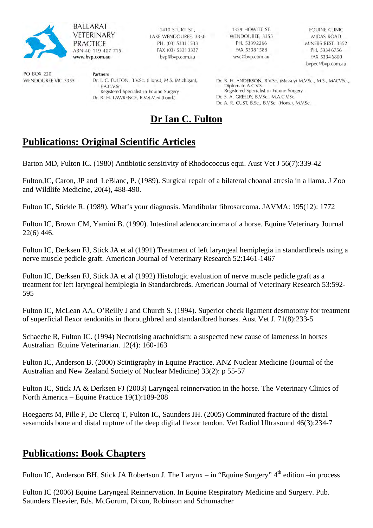

**BALLARAT VETERINARY PRACTICE** ABN 40 119 407 715 www.bvp.com.au

Partners

1410 STURT ST., LAKE WENDOUREE, 3350 PH. (03) 5331 1533 FAX (03) 53313337 byp@byp.com.au

Dr. I. C. FULTON, B.V.Sc. (Hons.), M.S. (Michigan),

Registered Specialist in Equine Surgery

Dr. R. H. LAWRENCE, B.Vet.Med.(Lond.)

1329 HOWITT ST. WENDOUREE, 3355 PH 53392266 FAX 53381588 wvc@bvp.com.au

EQUINE CLINIC MIDAS ROAD MINERS REST, 3352 PH. 53346756 FAX 53346800 bypec@byp.com.au

Dr. B. H. ANDERSON, B.V.Sc. (Massey) M.V.Sc., M.S., MACVSc., Diplomate A.C.V.S. Registered Specialist in Equine Surgery Dr. S. A. GREEDY, B.V.Sc., M.A.C.V.Sc. Dr. A. R. CUST, B.Sc., B.V.Sc. (Hons.), M.V.Sc.

# **Dr Ian C. Fulton**

## **Publications: Original Scientific Articles**

F.A.C.V.Sc.

Barton MD, Fulton IC. (1980) Antibiotic sensitivity of Rhodococcus equi. Aust Vet J 56(7):339-42

Fulton,IC, Caron, JP and LeBlanc, P. (1989). Surgical repair of a bilateral choanal atresia in a llama. J Zoo and Wildlife Medicine, 20(4), 488-490.

Fulton IC, Stickle R. (1989). What's your diagnosis. Mandibular fibrosarcoma. JAVMA: 195(12): 1772

Fulton IC, Brown CM, Yamini B. (1990). Intestinal adenocarcinoma of a horse. Equine Veterinary Journal 22(6) 446.

Fulton IC, Derksen FJ, Stick JA et al (1991) Treatment of left laryngeal hemiplegia in standardbreds using a nerve muscle pedicle graft. American Journal of Veterinary Research 52:1461-1467

Fulton IC, Derksen FJ, Stick JA et al (1992) Histologic evaluation of nerve muscle pedicle graft as a treatment for left laryngeal hemiplegia in Standardbreds. American Journal of Veterinary Research 53:592- 595

Fulton IC, McLean AA, O'Reilly J and Church S. (1994). Superior check ligament desmotomy for treatment of superficial flexor tendonitis in thoroughbred and standardbred horses. Aust Vet J. 71(8):233-5

Schaeche R, Fulton IC. (1994) Necrotising arachnidism: a suspected new cause of lameness in horses Australian Equine Veterinarian. 12(4): 160-163

Fulton IC, Anderson B. (2000) Scintigraphy in Equine Practice. ANZ Nuclear Medicine (Journal of the Australian and New Zealand Society of Nuclear Medicine) 33(2): p 55-57

Fulton IC, Stick JA & Derksen FJ (2003) Laryngeal reinnervation in the horse. The Veterinary Clinics of North America – Equine Practice 19(1):189-208

Hoegaerts M, Pille F, De Clercq T, Fulton IC, Saunders JH. (2005) Comminuted fracture of the distal sesamoids bone and distal rupture of the deep digital flexor tendon. Vet Radiol Ultrasound 46(3):234-7

### **Publications: Book Chapters**

Fulton IC, Anderson BH, Stick JA Robertson J. The Larynx – in "Equine Surgery" 4<sup>th</sup> edition –in process

Fulton IC (2006) Equine Laryngeal Reinnervation. In Equine Respiratory Medicine and Surgery. Pub. Saunders Elsevier, Eds. McGorum, Dixon, Robinson and Schumacher

**PO BOX 220 WENDOUREE VIC 3355**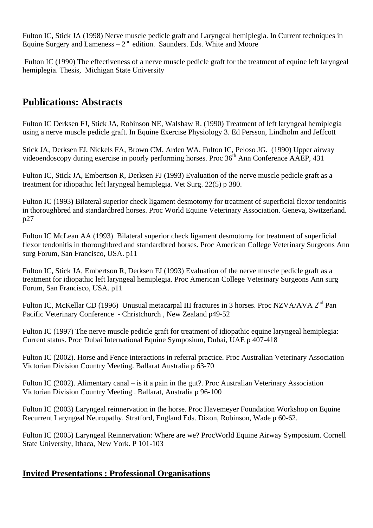Fulton IC, Stick JA (1998) Nerve muscle pedicle graft and Laryngeal hemiplegia. In Current techniques in Equine Surgery and Lameness  $-2<sup>nd</sup>$  edition. Saunders. Eds. White and Moore

Fulton IC (1990) The effectiveness of a nerve muscle pedicle graft for the treatment of equine left laryngeal hemiplegia. Thesis, Michigan State University

## **Publications: Abstracts**

Fulton IC Derksen FJ, Stick JA, Robinson NE, Walshaw R. (1990) Treatment of left laryngeal hemiplegia using a nerve muscle pedicle graft. In Equine Exercise Physiology 3. Ed Persson, Lindholm and Jeffcott

Stick JA, Derksen FJ, Nickels FA, Brown CM, Arden WA, Fulton IC, Peloso JG. (1990) Upper airway videoendoscopy during exercise in poorly performing horses. Proc  $36<sup>th</sup>$  Ann Conference AAEP, 431

Fulton IC, Stick JA, Embertson R, Derksen FJ (1993) Evaluation of the nerve muscle pedicle graft as a treatment for idiopathic left laryngeal hemiplegia. Vet Surg. 22(5) p 380.

Fulton IC (1993**)** Bilateral superior check ligament desmotomy for treatment of superficial flexor tendonitis in thoroughbred and standardbred horses. Proc World Equine Veterinary Association. Geneva, Switzerland. p27

Fulton IC McLean AA (1993) Bilateral superior check ligament desmotomy for treatment of superficial flexor tendonitis in thoroughbred and standardbred horses. Proc American College Veterinary Surgeons Ann surg Forum, San Francisco, USA. p11

Fulton IC, Stick JA, Embertson R, Derksen FJ (1993) Evaluation of the nerve muscle pedicle graft as a treatment for idiopathic left laryngeal hemiplegia. Proc American College Veterinary Surgeons Ann surg Forum, San Francisco, USA. p11

Fulton IC, McKellar CD (1996) Unusual metacarpal III fractures in 3 horses. Proc NZVA/AVA 2<sup>nd</sup> Pan Pacific Veterinary Conference - Christchurch , New Zealand p49-52

Fulton IC (1997) The nerve muscle pedicle graft for treatment of idiopathic equine laryngeal hemiplegia: Current status. Proc Dubai International Equine Symposium, Dubai, UAE p 407-418

Fulton IC (2002). Horse and Fence interactions in referral practice. Proc Australian Veterinary Association Victorian Division Country Meeting. Ballarat Australia p 63-70

Fulton IC (2002). Alimentary canal – is it a pain in the gut?. Proc Australian Veterinary Association Victorian Division Country Meeting . Ballarat, Australia p 96-100

Fulton IC (2003) Laryngeal reinnervation in the horse. Proc Havemeyer Foundation Workshop on Equine Recurrent Laryngeal Neuropathy. Stratford, England Eds. Dixon, Robinson, Wade p 60-62.

Fulton IC (2005) Laryngeal Reinnervation: Where are we? ProcWorld Equine Airway Symposium. Cornell State University, Ithaca, New York. P 101-103

#### **Invited Presentations : Professional Organisations**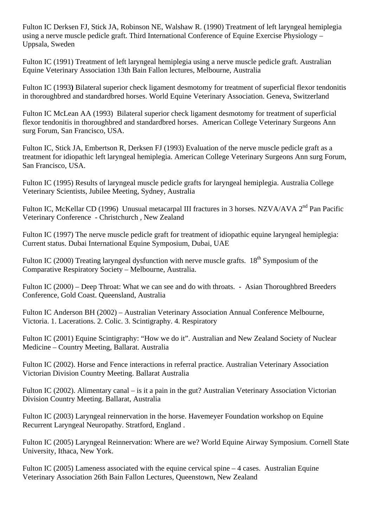Fulton IC Derksen FJ, Stick JA, Robinson NE, Walshaw R. (1990) Treatment of left laryngeal hemiplegia using a nerve muscle pedicle graft. Third International Conference of Equine Exercise Physiology – Uppsala, Sweden

Fulton IC (1991) Treatment of left laryngeal hemiplegia using a nerve muscle pedicle graft. Australian Equine Veterinary Association 13th Bain Fallon lectures, Melbourne, Australia

Fulton IC (1993**)** Bilateral superior check ligament desmotomy for treatment of superficial flexor tendonitis in thoroughbred and standardbred horses. World Equine Veterinary Association. Geneva, Switzerland

Fulton IC McLean AA (1993) Bilateral superior check ligament desmotomy for treatment of superficial flexor tendonitis in thoroughbred and standardbred horses. American College Veterinary Surgeons Ann surg Forum, San Francisco, USA.

Fulton IC, Stick JA, Embertson R, Derksen FJ (1993) Evaluation of the nerve muscle pedicle graft as a treatment for idiopathic left laryngeal hemiplegia. American College Veterinary Surgeons Ann surg Forum, San Francisco, USA.

Fulton IC (1995) Results of laryngeal muscle pedicle grafts for laryngeal hemiplegia. Australia College Veterinary Scientists, Jubilee Meeting, Sydney, Australia

Fulton IC, McKellar CD (1996) Unusual metacarpal III fractures in 3 horses. NZVA/AVA 2<sup>nd</sup> Pan Pacific Veterinary Conference - Christchurch , New Zealand

Fulton IC (1997) The nerve muscle pedicle graft for treatment of idiopathic equine laryngeal hemiplegia: Current status. Dubai International Equine Symposium, Dubai, UAE

Fulton IC (2000) Treating laryngeal dysfunction with nerve muscle grafts.  $18<sup>th</sup>$  Symposium of the Comparative Respiratory Society – Melbourne, Australia.

Fulton IC (2000) – Deep Throat: What we can see and do with throats. - Asian Thoroughbred Breeders Conference, Gold Coast. Queensland, Australia

Fulton IC Anderson BH (2002) – Australian Veterinary Association Annual Conference Melbourne, Victoria. 1. Lacerations. 2. Colic. 3. Scintigraphy. 4. Respiratory

Fulton IC (2001) Equine Scintigraphy: "How we do it". Australian and New Zealand Society of Nuclear Medicine – Country Meeting, Ballarat. Australia

Fulton IC (2002). Horse and Fence interactions in referral practice. Australian Veterinary Association Victorian Division Country Meeting. Ballarat Australia

Fulton IC (2002). Alimentary canal – is it a pain in the gut? Australian Veterinary Association Victorian Division Country Meeting. Ballarat, Australia

Fulton IC (2003) Laryngeal reinnervation in the horse. Havemeyer Foundation workshop on Equine Recurrent Laryngeal Neuropathy. Stratford, England .

Fulton IC (2005) Laryngeal Reinnervation: Where are we? World Equine Airway Symposium. Cornell State University, Ithaca, New York.

Fulton IC (2005) Lameness associated with the equine cervical spine – 4 cases. Australian Equine Veterinary Association 26th Bain Fallon Lectures, Queenstown, New Zealand